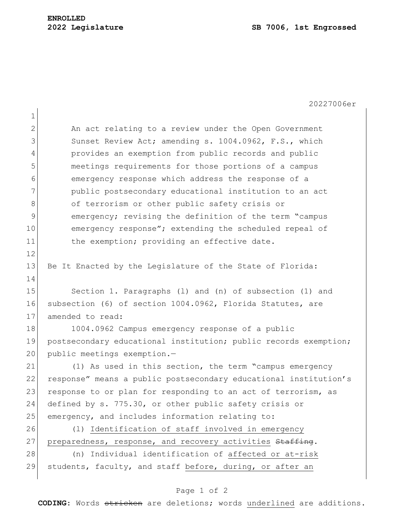$1<sup>1</sup>$ 

20227006er

| ᅩ              |                                                                  |
|----------------|------------------------------------------------------------------|
| $\overline{2}$ | An act relating to a review under the Open Government            |
| 3              | Sunset Review Act; amending s. 1004.0962, F.S., which            |
| 4              | provides an exemption from public records and public             |
| 5              | meetings requirements for those portions of a campus             |
| 6              | emergency response which address the response of a               |
| $\overline{7}$ | public postsecondary educational institution to an act           |
| 8              | of terrorism or other public safety crisis or                    |
| 9              | emergency; revising the definition of the term "campus           |
| 10             | emergency response"; extending the scheduled repeal of           |
| 11             | the exemption; providing an effective date.                      |
| 12             |                                                                  |
| 13             | Be It Enacted by the Legislature of the State of Florida:        |
| 14             |                                                                  |
| 15             | Section 1. Paragraphs (1) and (n) of subsection (1) and          |
| 16             | subsection (6) of section 1004.0962, Florida Statutes, are       |
| 17             | amended to read:                                                 |
| 18             | 1004.0962 Campus emergency response of a public                  |
| 19             | postsecondary educational institution; public records exemption; |
| 20             | public meetings exemption.-                                      |
| 21             | (1) As used in this section, the term "campus emergency          |
| 22             | response" means a public postsecondary educational institution's |
| 23             | response to or plan for responding to an act of terrorism, as    |
| 24             | defined by s. 775.30, or other public safety crisis or           |
| 25             | emergency, and includes information relating to:                 |
| 26             | (1) Identification of staff involved in emergency                |
| 27             | preparedness, response, and recovery activities Staffing.        |
| 28             | (n) Individual identification of affected or at-risk             |
| 29             | students, faculty, and staff before, during, or after an         |
|                |                                                                  |

## Page 1 of 2

**CODING**: Words stricken are deletions; words underlined are additions.